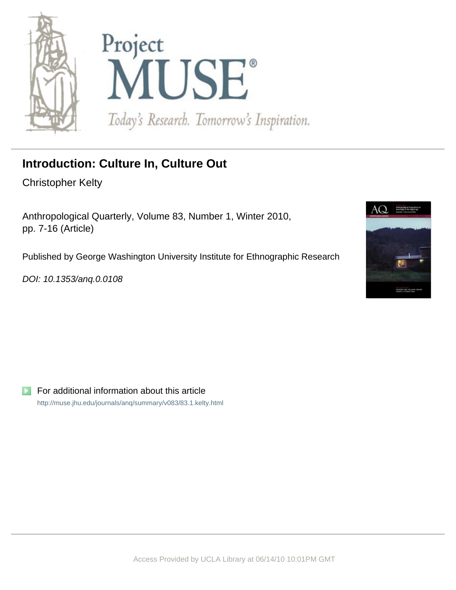



## **Introduction: Culture In, Culture Out**

Christopher Kelty

Anthropological Quarterly, Volume 83, Number 1, Winter 2010, pp. 7-16 (Article)

Published by George Washington University Institute for Ethnographic Research

DOI: 10.1353/anq.0.0108



For additional information about this article <http://muse.jhu.edu/journals/anq/summary/v083/83.1.kelty.html>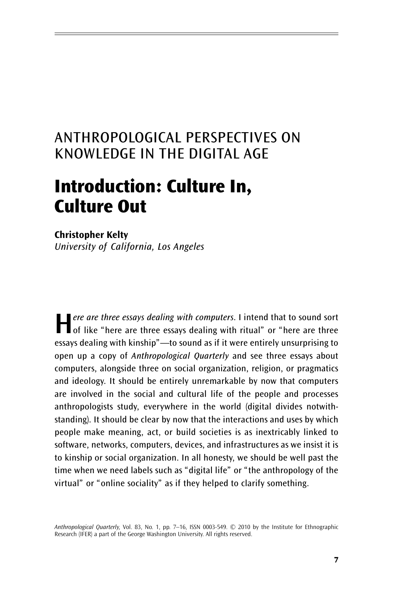## ANTHROPOLOGICAL PERSPECTIVES ON KNOWLEDGE IN THE DIGITAL AGE

## **Introduction: Culture In, Culture Out**

**Christopher Kelty**

*University of California, Los Angeles*

**Here are three essays dealing with computers. I intend that to sound sort** of like "here are three essays dealing with ritual" or "here are three essays dealing with kinship"—to sound as if it were entirely unsurprising to open up a copy of *Anthropological Quarterly* and see three essays about computers, alongside three on social organization, religion, or pragmatics and ideology. It should be entirely unremarkable by now that computers are involved in the social and cultural life of the people and processes anthropologists study, everywhere in the world (digital divides notwithstanding). It should be clear by now that the interactions and uses by which people make meaning, act, or build societies is as inextricably linked to software, networks, computers, devices, and infrastructures as we insist it is to kinship or social organization. In all honesty, we should be well past the time when we need labels such as "digital life" or "the anthropology of the virtual" or "online sociality" as if they helped to clarify something.

*Anthropological Quarterly,* Vol. 83, No. 1, pp. 7–16, ISSN 0003-549. © 2010 by the Institute for Ethnographic Research (IFER) a part of the George Washington University. All rights reserved.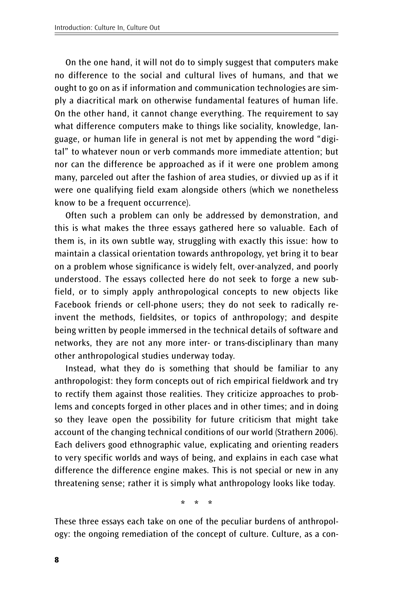On the one hand, it will not do to simply suggest that computers make no difference to the social and cultural lives of humans, and that we ought to go on as if information and communication technologies are simply a diacritical mark on otherwise fundamental features of human life. On the other hand, it cannot change everything. The requirement to say what difference computers make to things like sociality, knowledge, language, or human life in general is not met by appending the word "digital" to whatever noun or verb commands more immediate attention; but nor can the difference be approached as if it were one problem among many, parceled out after the fashion of area studies, or divvied up as if it were one qualifying field exam alongside others (which we nonetheless know to be a frequent occurrence).

Often such a problem can only be addressed by demonstration, and this is what makes the three essays gathered here so valuable. Each of them is, in its own subtle way, struggling with exactly this issue: how to maintain a classical orientation towards anthropology, yet bring it to bear on a problem whose significance is widely felt, over-analyzed, and poorly understood. The essays collected here do not seek to forge a new subfield, or to simply apply anthropological concepts to new objects like Facebook friends or cell-phone users; they do not seek to radically reinvent the methods, fieldsites, or topics of anthropology; and despite being written by people immersed in the technical details of software and networks, they are not any more inter- or trans-disciplinary than many other anthropological studies underway today.

Instead, what they do is something that should be familiar to any anthropologist: they form concepts out of rich empirical fieldwork and try to rectify them against those realities. They criticize approaches to problems and concepts forged in other places and in other times; and in doing so they leave open the possibility for future criticism that might take account of the changing technical conditions of our world (Strathern 2006). Each delivers good ethnographic value, explicating and orienting readers to very specific worlds and ways of being, and explains in each case what difference the difference engine makes. This is not special or new in any threatening sense; rather it is simply what anthropology looks like today.

**\*\*\***

These three essays each take on one of the peculiar burdens of anthropology: the ongoing remediation of the concept of culture. Culture, as a con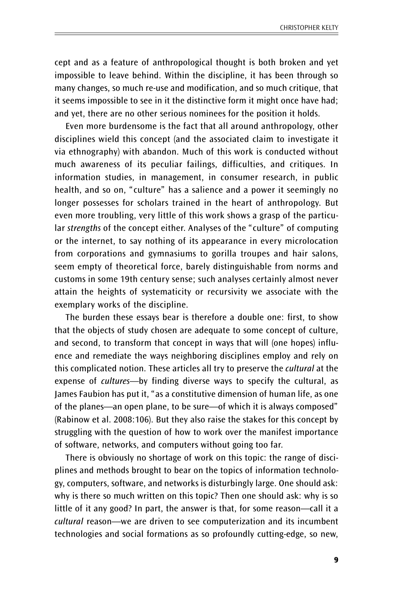cept and as a feature of anthropological thought is both broken and yet impossible to leave behind. Within the discipline, it has been through so many changes, so much re-use and modification, and so much critique, that it seems impossible to see in it the distinctive form it might once have had; and yet, there are no other serious nominees for the position it holds.

Even more burdensome is the fact that all around anthropology, other disciplines wield this concept (and the associated claim to investigate it via ethnography) with abandon. Much of this work is conducted without much awareness of its peculiar failings, difficulties, and critiques. In information studies, in management, in consumer research, in public health, and so on, "culture" has a salience and a power it seemingly no longer possesses for scholars trained in the heart of anthropology. But even more troubling, very little of this work shows a grasp of the particular *strengths* of the concept either. Analyses of the "culture" of computing or the internet, to say nothing of its appearance in every microlocation from corporations and gymnasiums to gorilla troupes and hair salons, seem empty of theoretical force, barely distinguishable from norms and customs in some 19th century sense; such analyses certainly almost never attain the heights of systematicity or recursivity we associate with the exemplary works of the discipline.

The burden these essays bear is therefore a double one: first, to show that the objects of study chosen are adequate to some concept of culture, and second, to transform that concept in ways that will (one hopes) influence and remediate the ways neighboring disciplines employ and rely on this complicated notion. These articles all try to preserve the *cultural* at the expense of *cultures—*by finding diverse ways to specify the cultural, as James Faubion has put it, "as a constitutive dimension of human life, as one of the planes—an open plane, to be sure—of which it is always composed" (Rabinow et al. 2008:106). But they also raise the stakes for this concept by struggling with the question of how to work over the manifest importance of software, networks, and computers without going too far.

There is obviously no shortage of work on this topic: the range of disciplines and methods brought to bear on the topics of information technology, computers, software, and networks is disturbingly large. One should ask: why is there so much written on this topic? Then one should ask: why is so little of it any good? In part, the answer is that, for some reason—call it a *cultural* reason—we are driven to see computerization and its incumbent technologies and social formations as so profoundly cutting-edge, so new,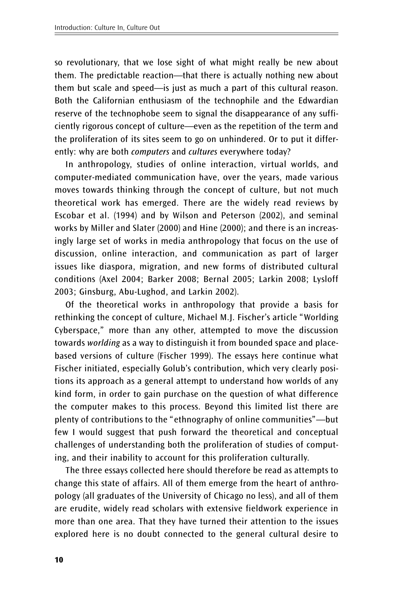so revolutionary, that we lose sight of what might really be new about them. The predictable reaction—that there is actually nothing new about them but scale and speed—is just as much a part of this cultural reason. Both the Californian enthusiasm of the technophile and the Edwardian reserve of the technophobe seem to signal the disappearance of any sufficiently rigorous concept of culture—even as the repetition of the term and the proliferation of its sites seem to go on unhindered. Or to put it differently: why are both *computers* and *cultures* everywhere today?

In anthropology, studies of online interaction, virtual worlds, and computer-mediated communication have, over the years, made various moves towards thinking through the concept of culture, but not much theoretical work has emerged. There are the widely read reviews by Escobar et al. (1994) and by Wilson and Peterson (2002), and seminal works by Miller and Slater (2000) and Hine (2000); and there is an increasingly large set of works in media anthropology that focus on the use of discussion, online interaction, and communication as part of larger issues like diaspora, migration, and new forms of distributed cultural conditions (Axel 2004; Barker 2008; Bernal 2005; Larkin 2008; Lysloff 2003; Ginsburg, Abu-Lughod, and Larkin 2002).

Of the theoretical works in anthropology that provide a basis for rethinking the concept of culture, Michael M.J. Fischer's article "Worlding Cyberspace," more than any other, attempted to move the discussion towards *worlding* as a way to distinguish it from bounded space and placebased versions of culture (Fischer 1999). The essays here continue what Fischer initiated, especially Golub's contribution, which very clearly positions its approach as a general attempt to understand how worlds of any kind form, in order to gain purchase on the question of what difference the computer makes to this process. Beyond this limited list there are plenty of contributions to the "ethnography of online communities"—but few I would suggest that push forward the theoretical and conceptual challenges of understanding both the proliferation of studies of computing, and their inability to account for this proliferation culturally.

The three essays collected here should therefore be read as attempts to change this state of affairs. All of them emerge from the heart of anthropology (all graduates of the University of Chicago no less), and all of them are erudite, widely read scholars with extensive fieldwork experience in more than one area. That they have turned their attention to the issues explored here is no doubt connected to the general cultural desire to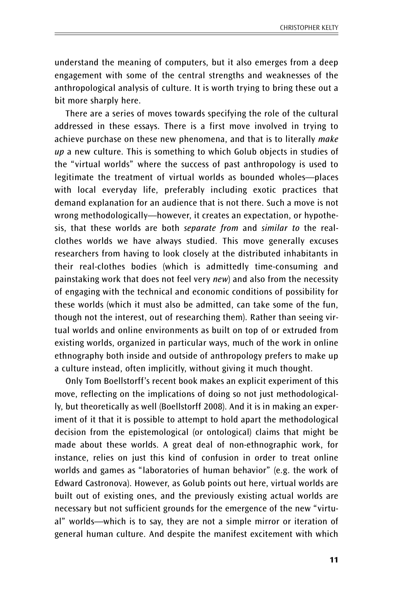understand the meaning of computers, but it also emerges from a deep engagement with some of the central strengths and weaknesses of the anthropological analysis of culture. It is worth trying to bring these out a bit more sharply here.

There are a series of moves towards specifying the role of the cultural addressed in these essays. There is a first move involved in trying to achieve purchase on these new phenomena, and that is to literally *make up* a new culture. This is something to which Golub objects in studies of the "virtual worlds" where the success of past anthropology is used to legitimate the treatment of virtual worlds as bounded wholes—places with local everyday life, preferably including exotic practices that demand explanation for an audience that is not there. Such a move is not wrong methodologically—however, it creates an expectation, or hypothesis, that these worlds are both *separate from* and *similar to* the realclothes worlds we have always studied. This move generally excuses researchers from having to look closely at the distributed inhabitants in their real-clothes bodies (which is admittedly time-consuming and painstaking work that does not feel very *new*) and also from the necessity of engaging with the technical and economic conditions of possibility for these worlds (which it must also be admitted, can take some of the fun, though not the interest, out of researching them). Rather than seeing virtual worlds and online environments as built on top of or extruded from existing worlds, organized in particular ways, much of the work in online ethnography both inside and outside of anthropology prefers to make up a culture instead, often implicitly, without giving it much thought.

Only Tom Boellstorff's recent book makes an explicit experiment of this move, reflecting on the implications of doing so not just methodologically, but theoretically as well (Boellstorff 2008). And it is in making an experiment of it that it is possible to attempt to hold apart the methodological decision from the epistemological (or ontological) claims that might be made about these worlds. A great deal of non-ethnographic work, for instance, relies on just this kind of confusion in order to treat online worlds and games as "laboratories of human behavior" (e.g. the work of Edward Castronova). However, as Golub points out here, virtual worlds are built out of existing ones, and the previously existing actual worlds are necessary but not sufficient grounds for the emergence of the new "virtual" worlds—which is to say, they are not a simple mirror or iteration of general human culture. And despite the manifest excitement with which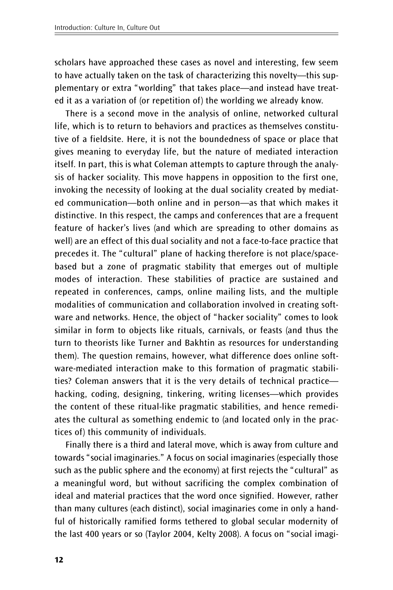scholars have approached these cases as novel and interesting, few seem to have actually taken on the task of characterizing this novelty—this supplementary or extra "worlding" that takes place—and instead have treated it as a variation of (or repetition of) the worlding we already know.

There is a second move in the analysis of online, networked cultural life, which is to return to behaviors and practices as themselves constitutive of a fieldsite. Here, it is not the boundedness of space or place that gives meaning to everyday life, but the nature of mediated interaction itself. In part, this is what Coleman attempts to capture through the analysis of hacker sociality. This move happens in opposition to the first one, invoking the necessity of looking at the dual sociality created by mediated communication—both online and in person—as that which makes it distinctive. In this respect, the camps and conferences that are a frequent feature of hacker's lives (and which are spreading to other domains as well) are an effect of this dual sociality and not a face-to-face practice that precedes it. The "cultural" plane of hacking therefore is not place/spacebased but a zone of pragmatic stability that emerges out of multiple modes of interaction. These stabilities of practice are sustained and repeated in conferences, camps, online mailing lists, and the multiple modalities of communication and collaboration involved in creating software and networks. Hence, the object of "hacker sociality" comes to look similar in form to objects like rituals, carnivals, or feasts (and thus the turn to theorists like Turner and Bakhtin as resources for understanding them). The question remains, however, what difference does online software-mediated interaction make to this formation of pragmatic stabilities? Coleman answers that it is the very details of technical practice hacking, coding, designing, tinkering, writing licenses—which provides the content of these ritual-like pragmatic stabilities, and hence remediates the cultural as something endemic to (and located only in the practices of) this community of individuals.

Finally there is a third and lateral move, which is away from culture and towards "social imaginaries." A focus on social imaginaries (especially those such as the public sphere and the economy) at first rejects the "cultural" as a meaningful word, but without sacrificing the complex combination of ideal and material practices that the word once signified. However, rather than many cultures (each distinct), social imaginaries come in only a handful of historically ramified forms tethered to global secular modernity of the last 400 years or so (Taylor 2004, Kelty 2008). A focus on "social imagi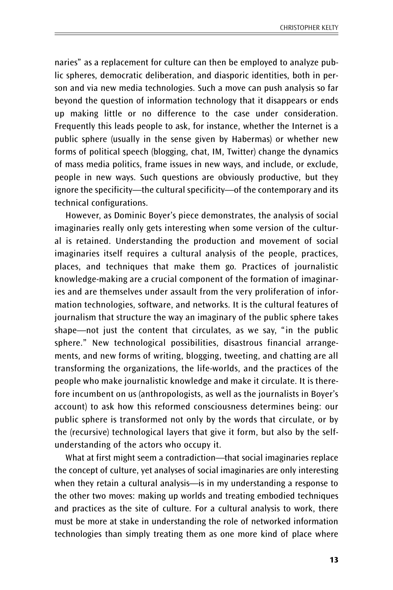naries" as a replacement for culture can then be employed to analyze public spheres, democratic deliberation, and diasporic identities, both in person and via new media technologies. Such a move can push analysis so far beyond the question of information technology that it disappears or ends up making little or no difference to the case under consideration. Frequently this leads people to ask, for instance, whether the Internet is a public sphere (usually in the sense given by Habermas) or whether new forms of political speech (blogging, chat, IM, Twitter) change the dynamics of mass media politics, frame issues in new ways, and include, or exclude, people in new ways. Such questions are obviously productive, but they ignore the specificity—the cultural specificity—of the contemporary and its technical configurations.

However, as Dominic Boyer's piece demonstrates, the analysis of social imaginaries really only gets interesting when some version of the cultural is retained. Understanding the production and movement of social imaginaries itself requires a cultural analysis of the people, practices, places, and techniques that make them go. Practices of journalistic knowledge-making are a crucial component of the formation of imaginaries and are themselves under assault from the very proliferation of information technologies, software, and networks. It is the cultural features of journalism that structure the way an imaginary of the public sphere takes shape—not just the content that circulates, as we say, "in the public sphere." New technological possibilities, disastrous financial arrangements, and new forms of writing, blogging, tweeting, and chatting are all transforming the organizations, the life-worlds, and the practices of the people who make journalistic knowledge and make it circulate. It is therefore incumbent on us (anthropologists, as well as the journalists in Boyer's account) to ask how this reformed consciousness determines being: our public sphere is transformed not only by the words that circulate, or by the (recursive) technological layers that give it form, but also by the selfunderstanding of the actors who occupy it.

What at first might seem a contradiction—that social imaginaries replace the concept of culture, yet analyses of social imaginaries are only interesting when they retain a cultural analysis—is in my understanding a response to the other two moves: making up worlds and treating embodied techniques and practices as the site of culture. For a cultural analysis to work, there must be more at stake in understanding the role of networked information technologies than simply treating them as one more kind of place where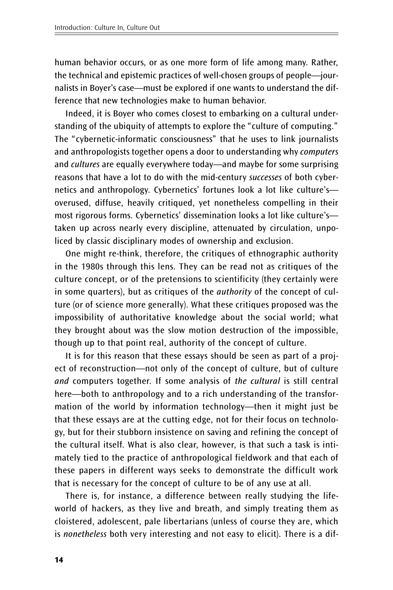human behavior occurs, or as one more form of life among many. Rather, the technical and epistemic practices of well-chosen groups of people—journalists in Boyer's case—must be explored if one wants to understand the difference that new technologies make to human behavior.

Indeed, it is Boyer who comes closest to embarking on a cultural understanding of the ubiquity of attempts to explore the "culture of computing." The "cybernetic-informatic consciousness" that he uses to link journalists and anthropologists together opens a door to understanding why *computers* and *cultures* are equally everywhere today—and maybe for some surprising reasons that have a lot to do with the mid-century *successes* of both cybernetics and anthropology. Cybernetics' fortunes look a lot like culture's overused, diffuse, heavily critiqued, yet nonetheless compelling in their most rigorous forms. Cybernetics' dissemination looks a lot like culture's taken up across nearly every discipline, attenuated by circulation, unpoliced by classic disciplinary modes of ownership and exclusion.

One might re-think, therefore, the critiques of ethnographic authority in the 1980s through this lens. They can be read not as critiques of the culture concept, or of the pretensions to scientificity (they certainly were in some quarters), but as critiques of the *authority* of the concept of culture (or of science more generally). What these critiques proposed was the impossibility of authoritative knowledge about the social world; what they brought about was the slow motion destruction of the impossible, though up to that point real, authority of the concept of culture.

It is for this reason that these essays should be seen as part of a project of reconstruction—not only of the concept of culture, but of culture *and* computers together. If some analysis of *the cultural* is still central here—both to anthropology and to a rich understanding of the transformation of the world by information technology—then it might just be that these essays are at the cutting edge, not for their focus on technology, but for their stubborn insistence on saving and refining the concept of the cultural itself. What is also clear, however, is that such a task is intimately tied to the practice of anthropological fieldwork and that each of these papers in different ways seeks to demonstrate the difficult work that is necessary for the concept of culture to be of any use at all.

There is, for instance, a difference between really studying the lifeworld of hackers, as they live and breath, and simply treating them as cloistered, adolescent, pale libertarians (unless of course they are, which is *nonetheless* both very interesting and not easy to elicit). There is a dif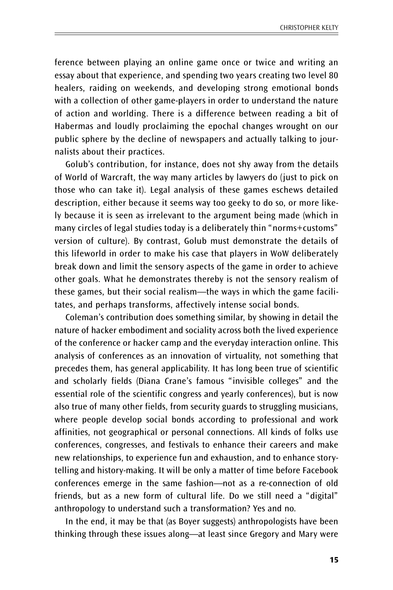ference between playing an online game once or twice and writing an essay about that experience, and spending two years creating two level 80 healers, raiding on weekends, and developing strong emotional bonds with a collection of other game-players in order to understand the nature of action and worlding. There is a difference between reading a bit of Habermas and loudly proclaiming the epochal changes wrought on our public sphere by the decline of newspapers and actually talking to journalists about their practices.

Golub's contribution, for instance, does not shy away from the details of World of Warcraft, the way many articles by lawyers do (just to pick on those who can take it). Legal analysis of these games eschews detailed description, either because it seems way too geeky to do so, or more likely because it is seen as irrelevant to the argument being made (which in many circles of legal studies today is a deliberately thin "norms+customs" version of culture). By contrast, Golub must demonstrate the details of this lifeworld in order to make his case that players in WoW deliberately break down and limit the sensory aspects of the game in order to achieve other goals. What he demonstrates thereby is not the sensory realism of these games, but their social realism—the ways in which the game facilitates, and perhaps transforms, affectively intense social bonds.

Coleman's contribution does something similar, by showing in detail the nature of hacker embodiment and sociality across both the lived experience of the conference or hacker camp and the everyday interaction online. This analysis of conferences as an innovation of virtuality, not something that precedes them, has general applicability. It has long been true of scientific and scholarly fields (Diana Crane's famous "invisible colleges" and the essential role of the scientific congress and yearly conferences), but is now also true of many other fields, from security guards to struggling musicians, where people develop social bonds according to professional and work affinities, not geographical or personal connections. All kinds of folks use conferences, congresses, and festivals to enhance their careers and make new relationships, to experience fun and exhaustion, and to enhance storytelling and history-making. It will be only a matter of time before Facebook conferences emerge in the same fashion—not as a re-connection of old friends, but as a new form of cultural life. Do we still need a "digital" anthropology to understand such a transformation? Yes and no.

In the end, it may be that (as Boyer suggests) anthropologists have been thinking through these issues along—at least since Gregory and Mary were